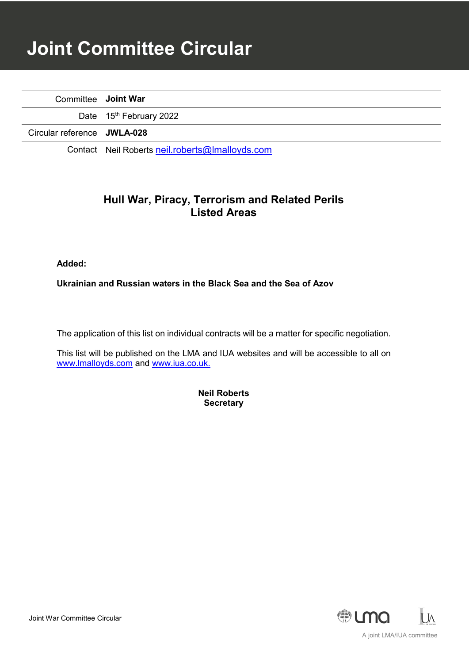# **Joint Committee Circular**

| Committee Joint War         |                                                 |
|-----------------------------|-------------------------------------------------|
|                             | Date 15 <sup>th</sup> February 2022             |
| Circular reference JWLA-028 |                                                 |
|                             | Contact Neil Roberts neil.roberts@lmalloyds.com |

## **Hull War, Piracy, Terrorism and Related Perils Listed Areas**

**Added:**

**Ukrainian and Russian waters in the Black Sea and the Sea of Azov**

The application of this list on individual contracts will be a matter for specific negotiation.

This list will be published on the LMA and IUA websites and will be accessible to all on [www.lmalloyds.com](http://www.lmalloyds.com/) and [www.iua.co.uk.](http://www.iua.co.uk/)

> **Neil Roberts Secretary**

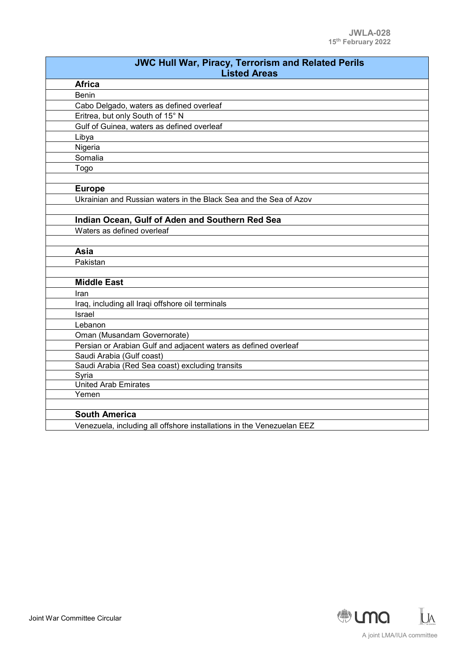| <b>JWC Hull War, Piracy, Terrorism and Related Perils</b><br><b>Listed Areas</b> |  |
|----------------------------------------------------------------------------------|--|
| <b>Africa</b>                                                                    |  |
| <b>Benin</b>                                                                     |  |
| Cabo Delgado, waters as defined overleaf                                         |  |
| Eritrea, but only South of 15° N                                                 |  |
| Gulf of Guinea, waters as defined overleaf                                       |  |
| Libya                                                                            |  |
| Nigeria                                                                          |  |
| Somalia                                                                          |  |
| Togo                                                                             |  |
|                                                                                  |  |
| <b>Europe</b>                                                                    |  |
| Ukrainian and Russian waters in the Black Sea and the Sea of Azov                |  |
|                                                                                  |  |
| Indian Ocean, Gulf of Aden and Southern Red Sea                                  |  |
| Waters as defined overleaf                                                       |  |
|                                                                                  |  |
| Asia                                                                             |  |
| Pakistan                                                                         |  |
|                                                                                  |  |
| <b>Middle East</b>                                                               |  |
| Iran                                                                             |  |
| Iraq, including all Iraqi offshore oil terminals                                 |  |
| <b>Israel</b>                                                                    |  |
| Lebanon                                                                          |  |
| Oman (Musandam Governorate)                                                      |  |
| Persian or Arabian Gulf and adjacent waters as defined overleaf                  |  |
| Saudi Arabia (Gulf coast)                                                        |  |
| Saudi Arabia (Red Sea coast) excluding transits                                  |  |
| Syria<br><b>United Arab Emirates</b>                                             |  |
| Yemen                                                                            |  |
|                                                                                  |  |
| <b>South America</b>                                                             |  |
| Venezuela, including all offshore installations in the Venezuelan EEZ            |  |
|                                                                                  |  |

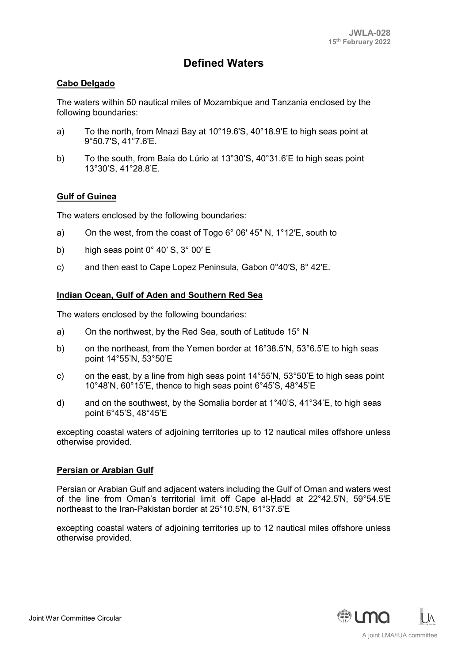## **Defined Waters**

#### **Cabo Delgado**

The waters within 50 nautical miles of Mozambique and Tanzania enclosed by the following boundaries:

- a) To the north, from Mnazi Bay at 10°19.6'S, 40°18.9'E to high seas point at 9°50.7'S, 41°7.6'E.
- b) To the south, from Baía do Lúrio at 13°30'S, 40°31.6'E to high seas point 13°30'S, 41°28.8'E.

#### **Gulf of Guinea**

The waters enclosed by the following boundaries:

- a) On the west, from the coast of Togo 6° 06′ 45″ N, 1°12′E, south to
- b) high seas point 0° 40′ S, 3° 00′ E
- c) and then east to Cape Lopez Peninsula, Gabon 0°40′S, 8° 42′E.

#### **Indian Ocean, Gulf of Aden and Southern Red Sea**

The waters enclosed by the following boundaries:

- a) On the northwest, by the Red Sea, south of Latitude 15° N
- b) on the northeast, from the Yemen border at 16°38.5'N, 53°6.5'E to high seas point 14°55'N, 53°50'E
- c) on the east, by a line from high seas point  $14^{\circ}55'N$ ,  $53^{\circ}50'E$  to high seas point 10°48'N, 60°15'E, thence to high seas point 6°45'S, 48°45'E
- d) and on the southwest, by the Somalia border at  $1^{\circ}40^{\prime}$ S,  $41^{\circ}34^{\prime}$ E, to high seas point 6°45'S, 48°45'E

excepting coastal waters of adjoining territories up to 12 nautical miles offshore unless otherwise provided.

#### **Persian or Arabian Gulf**

Persian or Arabian Gulf and adjacent waters including the Gulf of Oman and waters west of the line from Oman's territorial limit off Cape al-Ḥadd at 22°42.5'N, 59°54.5'E northeast to the Iran-Pakistan border at 25°10.5'N, 61°37.5'E

excepting coastal waters of adjoining territories up to 12 nautical miles offshore unless otherwise provided.